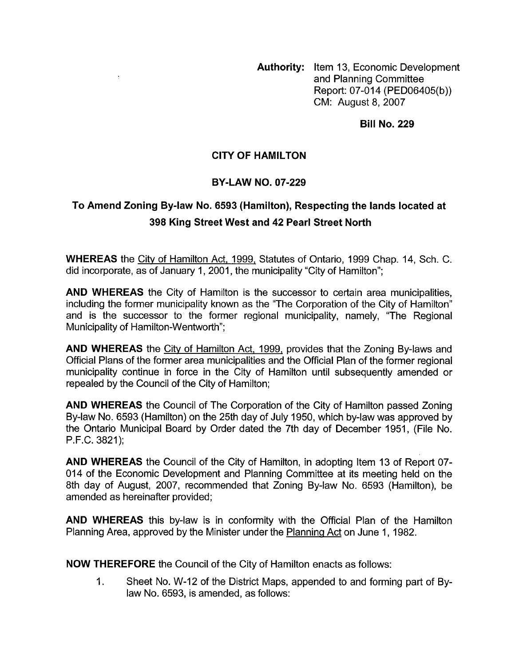**Authority:** Item 13, Economic Development and Planning Committee Report: 07-014 (PED06405(b)) CM: August 8,2007

**Bill No. 229** 

## **CITY OF HAMILTON**

 $\cdot$ 

## **BY-LAW NO. 07-229**

## **To Amend Zoning By-law No. 6593 (Hamilton), Respecting the lands located at 398 King Street West and 42 Pearl Street North**

**WHEREAS** the Citv of Hamilton Act, 1999, Statutes of Ontario, 1999 Chap. 14, Sch. C. did incorporate, as of January 1, 2001, the municipality "City of Hamilton";

**AND WHEREAS** the City of Hamilton is the successor to certain area municipalities, including the former municipality known as the "The Corporation of the City of Hamilton" and is the successor to the former regional municipality, namely, "The Regional Municipality of Hamilton-Wentworth":

**AND WHEREAS** the Citv of Hamilton Act, 1999, provides that the Zoning By-laws and Official Plans of the former area municipalities and the Official Plan of the former regional municipality continue in force in the City of Hamilton until subsequently amended or repealed by the Council of the City of Hamilton;

**AND WHEREAS** the Council of The Corporation of the City of Hamilton passed Zoning By-law No. 6593 (Hamilton) on the 25th day of July 1950, which by-law was approved by the Ontario Municipal Board by Order dated the 7th day of December 1951, (File No. P.F.C. 3821);

**AND WHEREAS** the Council of the City of Hamilton, in adopting Item 13 of Report 07- 014 of the Economic Development and Planning Committee at its meeting held on the 8th day of August, 2007, recommended that Zoning By-law No. 6593 (Hamilton), be amended as hereinafter provided;

**AND WHEREAS** this by-law is in conformity with the Official Plan of the Hamilton Planning Area, approved by the Minister under the Planning Act on June 1, 1982.

**NOW THEREFORE** the Council of the City of Hamilton enacts as follows:

1. Sheet No. W-12 of the District Maps, appended to and forming part of Bylaw No. 6593, is amended, as follows: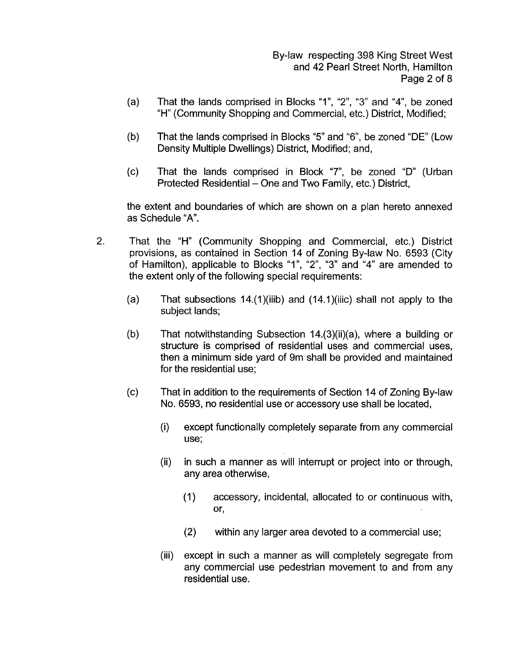By-law respecting 398 King Street West and 42 Pearl Street North, Hamilton Page 2 of 8

- (a) That the lands comprised in Blocks "I", "2", "3" and "4", be zoned "H" (Community Shopping and Commercial, etc.) District, Modified;
- (b) That the lands comprised in Blocks "5" and "6", be zoned "DE" (Low Density Multiple Dwellings) District, Modified; and,
- (c) That the lands comprised in Block **"7",** be zoned "D" (Urban Protected Residential – One and Two Family, etc.) District,

the extent and boundaries of which are shown on a plan hereto annexed as Schedule **"A".** 

- 2. That the "H" (Community Shopping and Commercial, etc.) District provisions, as contained in Section 14 of Zoning By-law No. 6593 (City of Hamilton), applicable to Blocks "I", "2", "3" and "4" are amended to the extent only of the following special requirements:
	- (a) That subsections  $14.(1)(iii b)$  and  $(14.1)(iiic)$  shall not apply to the subject lands;
	- (b) That notwithstanding Subsection  $14.(3)(ii)(a)$ , where a building or structure is comprised of residential uses and commercial uses, then a minimum side yard of 9m shall be provided and maintained for the residential use;
	- (c) That in addition to the requirements of Section 14 of Zoning By-law No. 6593, no residential use or accessory use shall be located,
		- (i) except functionally completely separate from any commercial use;
		- (ii) in such a manner as will interrupt or project into or through, any area otherwise,
			- (1) accessory, incidental, allocated to or continuous with, or,
			- (2) within any larger area devoted to a commercial use;
		- (iii) except in such a manner as will completely segregate from any commercial use pedestrian movement to and from any residential use.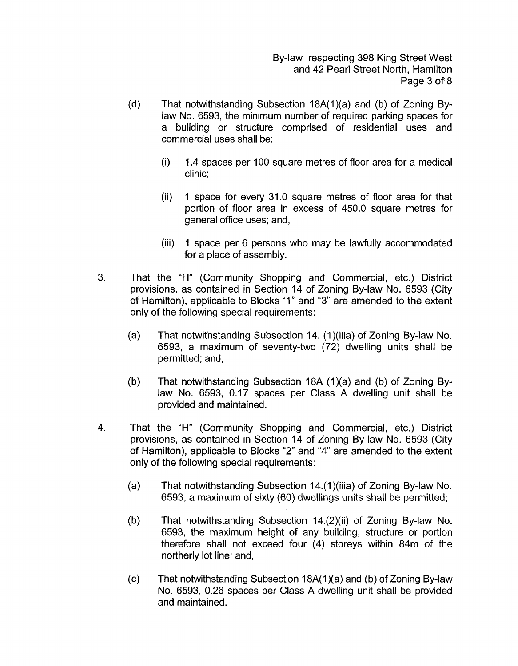By-law respecting 398 King Street West and 42 Pearl Street North, Hamilton Page 3 of 8

- (d) That notwithstanding Subsection  $18A(1)(a)$  and (b) of Zoning Bylaw No. 6593, the minimum number of required parking spaces for a building or structure comprised of residential uses and commercial uses shall be:
	- (i) 1.4 spaces per 100 square metres of floor area for a medical clinic;
	- (ii) 1 space for every 31.0 square metres of floor area for that portion of floor area in excess of 450.0 square metres for general office uses; and,
	- (iii) 1 space per 6 persons who may be lawfully accommodated for a place of assembly.
- 3. That the "H" (Community Shopping and Commercial, etc.) District provisions, as contained in Section 14 of Zoning By-law No. 6593 (City of Hamilton), applicable to Blocks "I" and "3" are amended to the extent only of the following special requirements:
	- (a) That notwithstanding Subsection 14. (1)(iiia) of Zoning By-law No. 6593, a maximum of seventy-two (72) dwelling units shall be permitted; and,
	- (b) That notwithstanding Subsection 18A  $(1)(a)$  and  $(b)$  of Zoning Bylaw No. 6593, 0.17 spaces per Class A dwelling unit shall be provided and maintained.
- **4.** That the "H" (Community Shopping and Commercial, etc.) District provisions, as contained in Section 14 of Zoning By-law No. 6593 (City of Hamilton), applicable to Blocks "2" and "4" are amended to the extent only of the following special requirements:
	- (a) That notwithstanding Subsection  $14.(1)$ (iiia) of Zoning By-law No. 6593, a maximum of sixty (60) dwellings units shall be permitted;
	- (b) That notwithstanding Subsection 14.(2)(ii) of Zoning By-law No. 6593, the maximum height of any building, structure or portion therefore shall not exceed four (4) storeys within 84m of the northerly lot line; and,
	- (c) That notwithstanding Subsection  $18A(1)(a)$  and (b) of Zoning By-law No. 6593, 0.26 spaces per Class **A** dwelling unit shall be provided and maintained.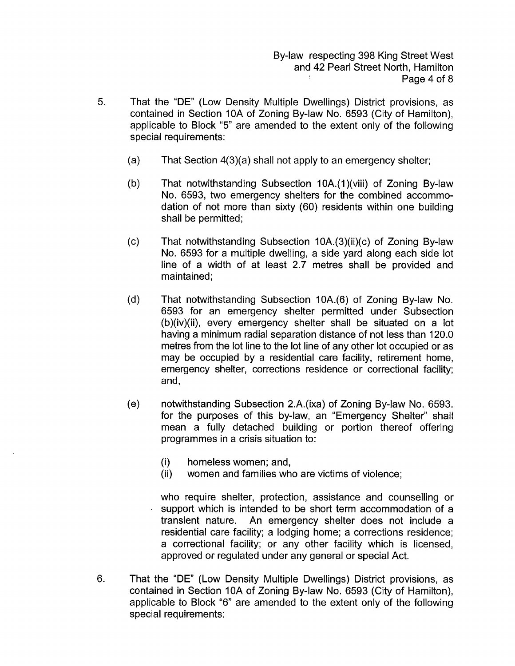By-law respecting 398 King Street West and 42 Pearl Street North, Hamilton Page 4 of 8

- 5. That the "DE" (Low Density Multiple Dwellings) District provisions, as contained in Section 10A of Zoning By-law No. 6593 (City of Hamilton), applicable to Block "5" are amended to the extent only of the following special requirements:
	- $(a)$ That Section 4(3)(a) shall not apply to an emergency shelter;
	- $(b)$ That notwithstanding Subsection 10A.(1)(viii) of Zoning By-law No. 6593, two emergency shelters for the combined accommodation of not more than sixty (60) residents within one building shall be permitted;
	- $(c)$ That notwithstanding Subsection 10A.(3)(ii)(c) of Zoning By-law No. 6593 for a multiple dwelling, a side yard along each side lot line of a width of at least 2.7 metres shall be provided and maintained;
	- $(d)$ That notwithstanding Subsection 10A.(6) of Zoning By-law No. 6593 for an emergency shelter permitted under Subsection (b)(iv)(ii), every emergency shelter shall be situated on a lot having a minimum radial separation distance of not less than 120.0 metres from the lot line to the lot line of any other lot occupied or as may be occupied by a residential care facility, retirement home, emergency shelter, corrections residence or correctional facility; and,
	- $(e)$ notwithstanding Subsection 2.A.(ixa) of Zoning By-law No. 6593. for the purposes of this by-law, an "Emergency Shelter" shall mean a fully detached building or portion thereof offering programmes in a crisis situation to:
		- (i) homeless women; and,
		- (ii) women and families who are victims of violence;

who require shelter, protection, assistance and counselling or support which is intended to be short term accommodation of a transient nature. An emergency shelter does not include a residential care facility; a lodging home; a corrections residence; a correctional facility; or any other facility which is licensed, approved or regulated under any general or special Act.

6. That the "DE" (Low Density Multiple Dwellings) District provisions, as contained in Section 10A of Zoning By-law No. 6593 (City of Hamilton), applicable to Block "6" are amended to the extent only of the following special requirements: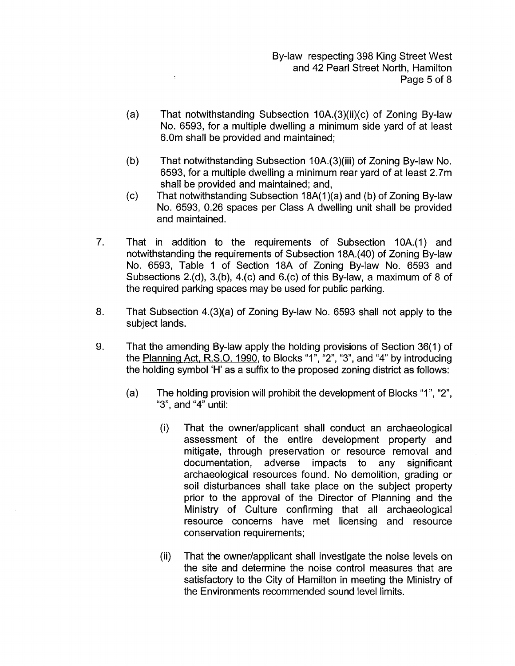By-law respecting 398 King Street West and 42 Pearl Street North, Hamilton Page 5 of 8

(a) That notwithstanding Subsection  $10A.(3)(ii)(c)$  of Zoning By-law No. 6593, for a multiple dwelling a minimum side yard of at least 6.0m shall be provided and maintained;

 $\overline{\mathbb{C}}$ 

- (b) That notwithstanding Subsection 1 OA.(3)(iii) of Zoning By-law No. 6593, for a multiple dwelling a minimum rear yard of at least 2.7m shall be provided and maintained; and,
- That notwithstanding Subsection 18A(1)(a) and (b) of Zoning By-law No. 6593, 0.26 spaces per Class A dwelling unit shall be provided and maintained. (c)
- 7. That in addition to the requirements of Subsection IOA.(I) and notwithstanding the requirements of Subsection 18A.(40) of Zoning By-law No. 6593, Table 1 of Section 18A of Zoning By-law No. 6593 and Subsections 2.(d), 3.(b), 4.(c) and 6.(c) of this By-law, a maximum of 8 of the required parking spaces may be used for public parking.
- 8. That Subsection 4.(3)(a) of Zoning By-law No. 6593 shall not apply to the subject lands.
- 9. That the amending By-law apply the holding provisions of Section 36(1) of the Planning Act, R.S.O. 1990, to Blocks "I", "2", "3", and "4" by introducing the holding symbol 'H' as a suffix to the proposed zoning district as follows:
	- (a) The holding provision will prohibit the development of Blocks "I", "2", "3", and "4" until:
		- (i) That the owner/applicant shall conduct an archaeological assessment of the entire development property and mitigate, through preservation or resource removal and documentation, adverse impacts to any significant archaeological resources found. No demolition, grading or soil disturbances shall take place on the subject property prior to the approval of the Director of Planning and the Ministry of Culture confirming that all archaeological resource concerns have met licensing and resource conservation requirements;
		- (ii) That the owner/applicant shall investigate the noise levels on the site and determine the noise control measures that are satisfactory to the City of Hamilton in meeting the Ministry of the Environments recommended sound level limits.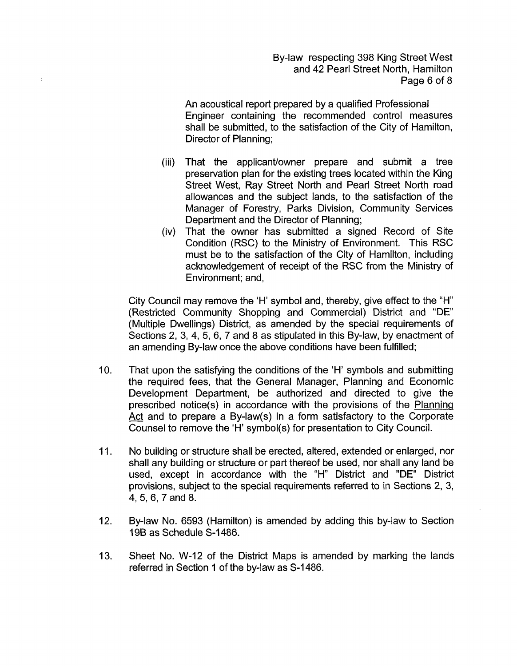By-law respecting 398 King Street West and 42 Pearl Street North, Hamilton Page 6 of 8

An acoustical report prepared by a qualified Professional Engineer containing the recommended control measures shall be submitted, to the satisfaction of the City of Hamilton, Director of Planning;

- (iii) That the applicant/owner prepare and submit a tree preservation plan for the existing trees located within the King Street West, Ray Street North and Pearl Street North road allowances and the subject lands, to the satisfaction of the Manager of Forestry, Parks Division, Community Services Department and the Director of Planning;
- (iv) That the owner has submitted a signed Record of Site Condition (RSC) to the Ministry of Environment. This RSC must be to the satisfaction of the City of Hamilton, including acknowledgement of receipt of the RSC from the Ministry of Environment; and,

City Council may remove the 'H' symbol and, thereby, give effect to the "H" (Restricted Community Shopping and Commercial) District and "DE" (Multiple Dwellings) District, as amended by the special requirements of Sections 2, 3, 4, 5, 6, 7 and 8 as stipulated in this By-law, by enactment of an amending By-law once the above conditions have been fulfilled;

- 10. That upon the satisfying the conditions of the 'H' symbols and submitting the required fees, that the General Manager, Planning and Economic Development Department, be authorized and directed to give the prescribed notice(s) in accordance with the provisions of the Planninq Act and to prepare a By-law(s) in a form satisfactory to the Corporate Counsel to remove the 'H' symbol(s) for presentation to City Council.
- 11. No building or structure shall be erected, altered, extended or enlarged, nor shall any building or structure or part thereof be used, nor shall any land be used, except in accordance with the "H" District and "DE" District provisions, subject to the special requirements referred to in Sections 2, 3, 4, 5, 6, 7 and 8.
- 12. By-law No. 6593 (Hamilton) is amended by adding this by-law to Section 196 as Schedule S-I 486.
- 13. Sheet No. W-12 of the District Maps is amended by marking the lands referred in Section 1 of the by-law as S-1486.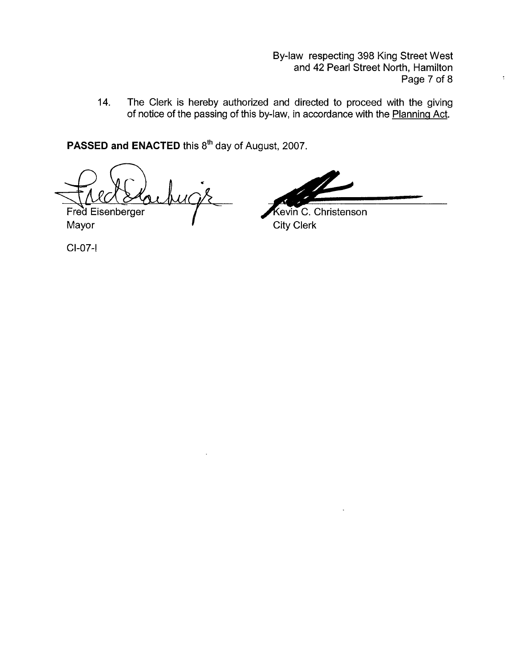By-law respecting 398 King Street West and 42 Pearl Street North, Hamilton Page 7 of 8

14. The Clerk is hereby authorized and directed to proceed with the giving of notice of the passing of this by-law, in accordance with the Planning Act.

PASSED and ENACTED this 8<sup>th</sup> day of August, 2007.

Fred Eisenberger

Mayor **I** City Clerk

By-law respecting 398 King Street West<br>
and 42 Pearl Street North, Hamilton<br>
Page 7 of 8<br>
ad and directed to proceed with the giving<br>
y-law, in accordance with the <u>Planning Act</u>.<br>
yust, 2007.<br> **Example 19.4**<br>
City Clerk<br>

CI-07-I